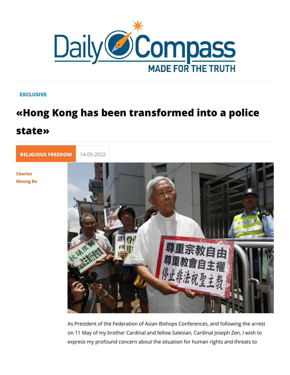## **EXCLUSIVE**

## «Hong Kong has been transformed into state»

[RELIGIOUS FR](https://newdailycompass.com/en/religious-freedom)E 14-05-2022

[Charle](/en/charles-maung-bo)s [Maung](/en/charles-maung-bo) Bo

> As President of the Federation of Asian Bishops Conferences, on 11 May of my brother Cardinal and fellow Salesian, Cardina express my profound concern about the situation for human rig